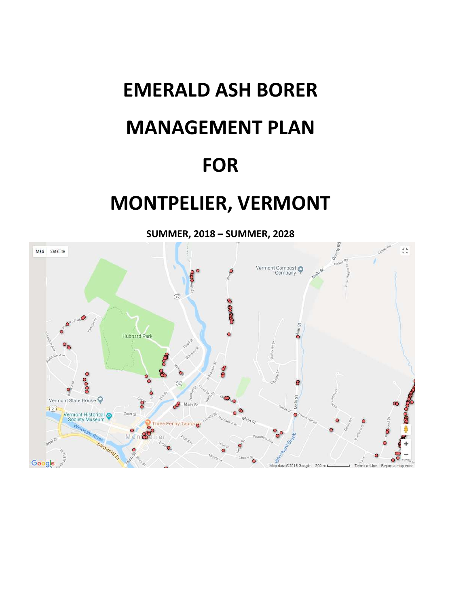# **EMERALD ASH BORER MANAGEMENT PLAN FOR**

# **MONTPELIER, VERMONT**

**SUMMER, 2018 – SUMMER, 2028**

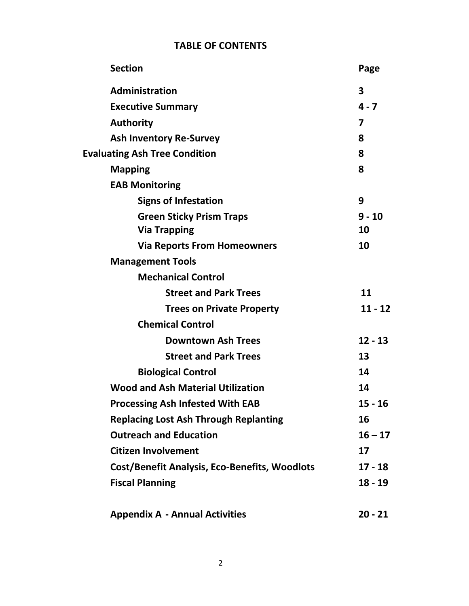# **TABLE OF CONTENTS**

| <b>Section</b>                                       | Page         |
|------------------------------------------------------|--------------|
| Administration                                       | $\mathbf{3}$ |
| <b>Executive Summary</b>                             | $4 - 7$      |
| <b>Authority</b>                                     | 7            |
| <b>Ash Inventory Re-Survey</b>                       | 8            |
| <b>Evaluating Ash Tree Condition</b>                 | 8            |
| <b>Mapping</b>                                       | 8            |
| <b>EAB Monitoring</b>                                |              |
| <b>Signs of Infestation</b>                          | 9            |
| <b>Green Sticky Prism Traps</b>                      | $9 - 10$     |
| <b>Via Trapping</b>                                  | 10           |
| <b>Via Reports From Homeowners</b>                   | 10           |
| <b>Management Tools</b>                              |              |
| <b>Mechanical Control</b>                            |              |
| <b>Street and Park Trees</b>                         | 11           |
| <b>Trees on Private Property</b>                     | $11 - 12$    |
| <b>Chemical Control</b>                              |              |
| <b>Downtown Ash Trees</b>                            | $12 - 13$    |
| <b>Street and Park Trees</b>                         | 13           |
| <b>Biological Control</b>                            | 14           |
| <b>Wood and Ash Material Utilization</b>             | 14           |
| <b>Processing Ash Infested With EAB</b>              | $15 - 16$    |
| <b>Replacing Lost Ash Through Replanting</b>         | 16           |
| <b>Outreach and Education</b>                        | $16 - 17$    |
| <b>Citizen Involvement</b>                           | 17           |
| <b>Cost/Benefit Analysis, Eco-Benefits, Woodlots</b> | $17 - 18$    |
| <b>Fiscal Planning</b>                               | $18 - 19$    |
| <b>Appendix A - Annual Activities</b>                | $20 - 21$    |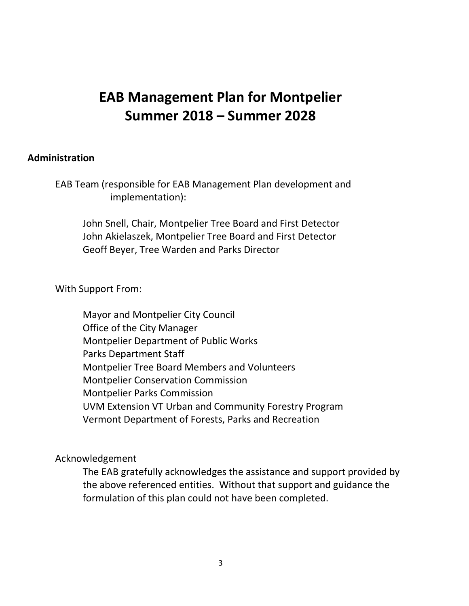# **EAB Management Plan for Montpelier Summer 2018 – Summer 2028**

#### **Administration**

EAB Team (responsible for EAB Management Plan development and implementation):

John Snell, Chair, Montpelier Tree Board and First Detector John Akielaszek, Montpelier Tree Board and First Detector Geoff Beyer, Tree Warden and Parks Director

With Support From:

Mayor and Montpelier City Council Office of the City Manager Montpelier Department of Public Works Parks Department Staff Montpelier Tree Board Members and Volunteers Montpelier Conservation Commission Montpelier Parks Commission UVM Extension VT Urban and Community Forestry Program Vermont Department of Forests, Parks and Recreation

Acknowledgement

The EAB gratefully acknowledges the assistance and support provided by the above referenced entities. Without that support and guidance the formulation of this plan could not have been completed.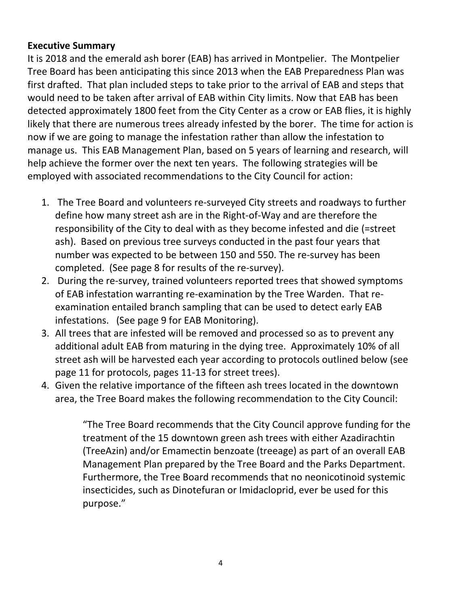# **Executive Summary**

It is 2018 and the emerald ash borer (EAB) has arrived in Montpelier. The Montpelier Tree Board has been anticipating this since 2013 when the EAB Preparedness Plan was first drafted. That plan included steps to take prior to the arrival of EAB and steps that would need to be taken after arrival of EAB within City limits. Now that EAB has been detected approximately 1800 feet from the City Center as a crow or EAB flies, it is highly likely that there are numerous trees already infested by the borer. The time for action is now if we are going to manage the infestation rather than allow the infestation to manage us. This EAB Management Plan, based on 5 years of learning and research, will help achieve the former over the next ten years. The following strategies will be employed with associated recommendations to the City Council for action:

- 1. The Tree Board and volunteers re-surveyed City streets and roadways to further define how many street ash are in the Right-of-Way and are therefore the responsibility of the City to deal with as they become infested and die (=street ash). Based on previous tree surveys conducted in the past four years that number was expected to be between 150 and 550. The re-survey has been completed. (See page 8 for results of the re-survey).
- 2. During the re-survey, trained volunteers reported trees that showed symptoms of EAB infestation warranting re-examination by the Tree Warden. That reexamination entailed branch sampling that can be used to detect early EAB infestations. (See page 9 for EAB Monitoring).
- 3. All trees that are infested will be removed and processed so as to prevent any additional adult EAB from maturing in the dying tree. Approximately 10% of all street ash will be harvested each year according to protocols outlined below (see page 11 for protocols, pages 11-13 for street trees).
- 4. Given the relative importance of the fifteen ash trees located in the downtown area, the Tree Board makes the following recommendation to the City Council:

"The Tree Board recommends that the City Council approve funding for the treatment of the 15 downtown green ash trees with either Azadirachtin (TreeAzin) and/or Emamectin benzoate (treeage) as part of an overall EAB Management Plan prepared by the Tree Board and the Parks Department. Furthermore, the Tree Board recommends that no neonicotinoid systemic insecticides, such as Dinotefuran or Imidacloprid, ever be used for this purpose."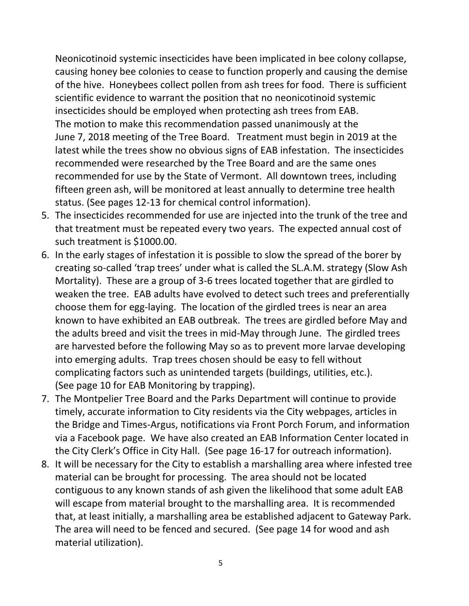Neonicotinoid systemic insecticides have been implicated in bee colony collapse, causing honey bee colonies to cease to function properly and causing the demise of the hive. Honeybees collect pollen from ash trees for food. There is sufficient scientific evidence to warrant the position that no neonicotinoid systemic insecticides should be employed when protecting ash trees from EAB. The motion to make this recommendation passed unanimously at the June 7, 2018 meeting of the Tree Board. Treatment must begin in 2019 at the latest while the trees show no obvious signs of EAB infestation. The insecticides recommended were researched by the Tree Board and are the same ones recommended for use by the State of Vermont. All downtown trees, including fifteen green ash, will be monitored at least annually to determine tree health status. (See pages 12-13 for chemical control information).

- 5. The insecticides recommended for use are injected into the trunk of the tree and that treatment must be repeated every two years. The expected annual cost of such treatment is \$1000.00.
- 6. In the early stages of infestation it is possible to slow the spread of the borer by creating so-called 'trap trees' under what is called the SL.A.M. strategy (Slow Ash Mortality). These are a group of 3-6 trees located together that are girdled to weaken the tree. EAB adults have evolved to detect such trees and preferentially choose them for egg-laying. The location of the girdled trees is near an area known to have exhibited an EAB outbreak. The trees are girdled before May and the adults breed and visit the trees in mid-May through June. The girdled trees are harvested before the following May so as to prevent more larvae developing into emerging adults. Trap trees chosen should be easy to fell without complicating factors such as unintended targets (buildings, utilities, etc.). (See page 10 for EAB Monitoring by trapping).
- 7. The Montpelier Tree Board and the Parks Department will continue to provide timely, accurate information to City residents via the City webpages, articles in the Bridge and Times-Argus, notifications via Front Porch Forum, and information via a Facebook page. We have also created an EAB Information Center located in the City Clerk's Office in City Hall. (See page 16-17 for outreach information).
- 8. It will be necessary for the City to establish a marshalling area where infested tree material can be brought for processing. The area should not be located contiguous to any known stands of ash given the likelihood that some adult EAB will escape from material brought to the marshalling area. It is recommended that, at least initially, a marshalling area be established adjacent to Gateway Park. The area will need to be fenced and secured. (See page 14 for wood and ash material utilization).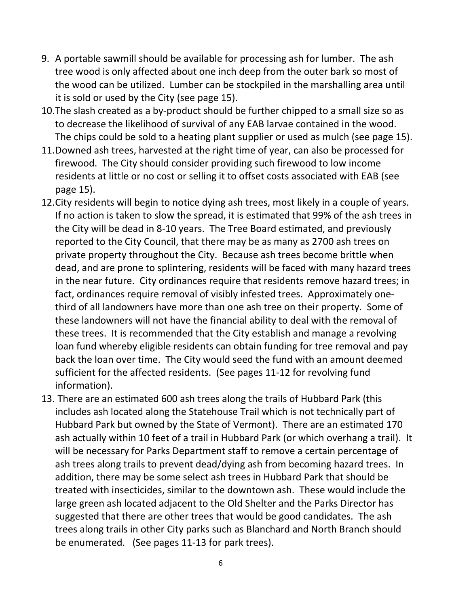- 9. A portable sawmill should be available for processing ash for lumber. The ash tree wood is only affected about one inch deep from the outer bark so most of the wood can be utilized. Lumber can be stockpiled in the marshalling area until it is sold or used by the City (see page 15).
- 10.The slash created as a by-product should be further chipped to a small size so as to decrease the likelihood of survival of any EAB larvae contained in the wood. The chips could be sold to a heating plant supplier or used as mulch (see page 15).
- 11.Downed ash trees, harvested at the right time of year, can also be processed for firewood. The City should consider providing such firewood to low income residents at little or no cost or selling it to offset costs associated with EAB (see page 15).
- 12.City residents will begin to notice dying ash trees, most likely in a couple of years. If no action is taken to slow the spread, it is estimated that 99% of the ash trees in the City will be dead in 8-10 years. The Tree Board estimated, and previously reported to the City Council, that there may be as many as 2700 ash trees on private property throughout the City. Because ash trees become brittle when dead, and are prone to splintering, residents will be faced with many hazard trees in the near future. City ordinances require that residents remove hazard trees; in fact, ordinances require removal of visibly infested trees. Approximately onethird of all landowners have more than one ash tree on their property. Some of these landowners will not have the financial ability to deal with the removal of these trees. It is recommended that the City establish and manage a revolving loan fund whereby eligible residents can obtain funding for tree removal and pay back the loan over time. The City would seed the fund with an amount deemed sufficient for the affected residents. (See pages 11-12 for revolving fund information).
- 13. There are an estimated 600 ash trees along the trails of Hubbard Park (this includes ash located along the Statehouse Trail which is not technically part of Hubbard Park but owned by the State of Vermont). There are an estimated 170 ash actually within 10 feet of a trail in Hubbard Park (or which overhang a trail). It will be necessary for Parks Department staff to remove a certain percentage of ash trees along trails to prevent dead/dying ash from becoming hazard trees. In addition, there may be some select ash trees in Hubbard Park that should be treated with insecticides, similar to the downtown ash. These would include the large green ash located adjacent to the Old Shelter and the Parks Director has suggested that there are other trees that would be good candidates. The ash trees along trails in other City parks such as Blanchard and North Branch should be enumerated. (See pages 11-13 for park trees).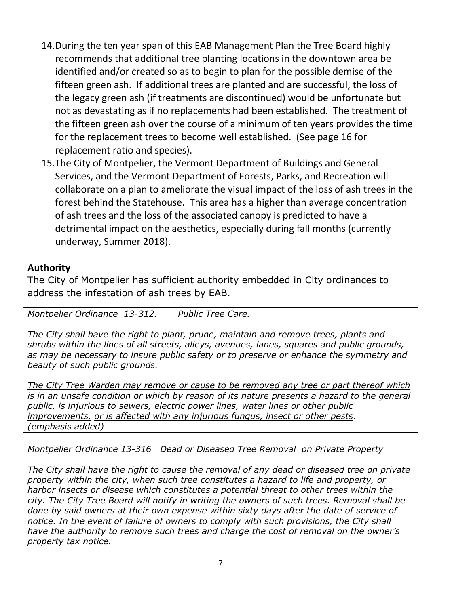- 14.During the ten year span of this EAB Management Plan the Tree Board highly recommends that additional tree planting locations in the downtown area be identified and/or created so as to begin to plan for the possible demise of the fifteen green ash. If additional trees are planted and are successful, the loss of the legacy green ash (if treatments are discontinued) would be unfortunate but not as devastating as if no replacements had been established. The treatment of the fifteen green ash over the course of a minimum of ten years provides the time for the replacement trees to become well established. (See page 16 for replacement ratio and species).
- 15.The City of Montpelier, the Vermont Department of Buildings and General Services, and the Vermont Department of Forests, Parks, and Recreation will collaborate on a plan to ameliorate the visual impact of the loss of ash trees in the forest behind the Statehouse. This area has a higher than average concentration of ash trees and the loss of the associated canopy is predicted to have a detrimental impact on the aesthetics, especially during fall months (currently underway, Summer 2018).

# **Authority**

The City of Montpelier has sufficient authority embedded in City ordinances to address the infestation of ash trees by EAB.

*Montpelier Ordinance 13-312. Public Tree Care.*

*The City shall have the right to plant, prune, maintain and remove trees, plants and shrubs within the lines of all streets, alleys, avenues, lanes, squares and public grounds, as may be necessary to insure public safety or to preserve or enhance the symmetry and beauty of such public grounds.*

*The City Tree Warden may remove or cause to be removed any tree or part thereof which is in an unsafe condition or which by reason of its nature presents a hazard to the general public, is injurious to sewers, electric power lines, water lines or other public improvements, or is affected with any injurious fungus, insect or other pests. (emphasis added)*

*Montpelier Ordinance 13-316 Dead or Diseased Tree Removal on Private Property*

*The City shall have the right to cause the removal of any dead or diseased tree on private property within the city, when such tree constitutes a hazard to life and property, or harbor insects or disease which constitutes a potential threat to other trees within the city. The City Tree Board will notify in writing the owners of such trees. Removal shall be done by said owners at their own expense within sixty days after the date of service of*  notice. In the event of failure of owners to comply with such provisions, the City shall *have the authority to remove such trees and charge the cost of removal on the owner's property tax notice.*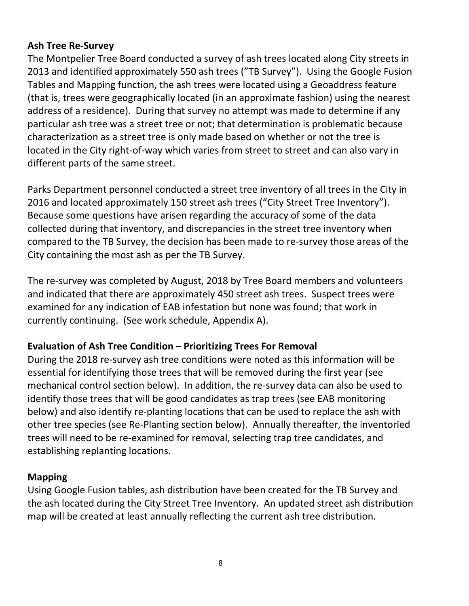#### **Ash Tree Re-Survey**

The Montpelier Tree Board conducted a survey of ash trees located along City streets in 2013 and identified approximately 550 ash trees ("TB Survey"). Using the Google Fusion Tables and Mapping function, the ash trees were located using a Geoaddress feature (that is, trees were geographically located (in an approximate fashion) using the nearest address of a residence). During that survey no attempt was made to determine if any particular ash tree was a street tree or not; that determination is problematic because characterization as a street tree is only made based on whether or not the tree is located in the City right-of-way which varies from street to street and can also vary in different parts of the same street.

Parks Department personnel conducted a street tree inventory of all trees in the City in 2016 and located approximately 150 street ash trees ("City Street Tree Inventory"). Because some questions have arisen regarding the accuracy of some of the data collected during that inventory, and discrepancies in the street tree inventory when compared to the TB Survey, the decision has been made to re-survey those areas of the City containing the most ash as per the TB Survey.

The re-survey was completed by August, 2018 by Tree Board members and volunteers and indicated that there are approximately 450 street ash trees. Suspect trees were examined for any indication of EAB infestation but none was found; that work in currently continuing. (See work schedule, Appendix A).

#### **Evaluation of Ash Tree Condition – Prioritizing Trees For Removal**

During the 2018 re-survey ash tree conditions were noted as this information will be essential for identifying those trees that will be removed during the first year (see mechanical control section below). In addition, the re-survey data can also be used to identify those trees that will be good candidates as trap trees (see EAB monitoring below) and also identify re-planting locations that can be used to replace the ash with other tree species (see Re-Planting section below). Annually thereafter, the inventoried trees will need to be re-examined for removal, selecting trap tree candidates, and establishing replanting locations.

#### **Mapping**

Using Google Fusion tables, ash distribution have been created for the TB Survey and the ash located during the City Street Tree Inventory. An updated street ash distribution map will be created at least annually reflecting the current ash tree distribution.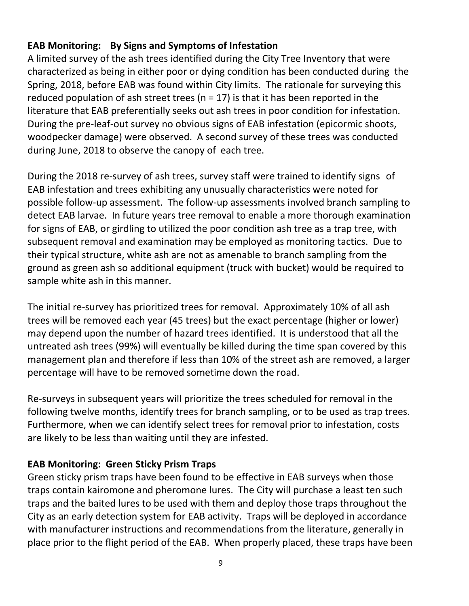# **EAB Monitoring: By Signs and Symptoms of Infestation**

A limited survey of the ash trees identified during the City Tree Inventory that were characterized as being in either poor or dying condition has been conducted during the Spring, 2018, before EAB was found within City limits. The rationale for surveying this reduced population of ash street trees ( $n = 17$ ) is that it has been reported in the literature that EAB preferentially seeks out ash trees in poor condition for infestation. During the pre-leaf-out survey no obvious signs of EAB infestation (epicormic shoots, woodpecker damage) were observed. A second survey of these trees was conducted during June, 2018 to observe the canopy of each tree.

During the 2018 re-survey of ash trees, survey staff were trained to identify signs of EAB infestation and trees exhibiting any unusually characteristics were noted for possible follow-up assessment. The follow-up assessments involved branch sampling to detect EAB larvae. In future years tree removal to enable a more thorough examination for signs of EAB, or girdling to utilized the poor condition ash tree as a trap tree, with subsequent removal and examination may be employed as monitoring tactics. Due to their typical structure, white ash are not as amenable to branch sampling from the ground as green ash so additional equipment (truck with bucket) would be required to sample white ash in this manner.

The initial re-survey has prioritized trees for removal. Approximately 10% of all ash trees will be removed each year (45 trees) but the exact percentage (higher or lower) may depend upon the number of hazard trees identified. It is understood that all the untreated ash trees (99%) will eventually be killed during the time span covered by this management plan and therefore if less than 10% of the street ash are removed, a larger percentage will have to be removed sometime down the road.

Re-surveys in subsequent years will prioritize the trees scheduled for removal in the following twelve months, identify trees for branch sampling, or to be used as trap trees. Furthermore, when we can identify select trees for removal prior to infestation, costs are likely to be less than waiting until they are infested.

# **EAB Monitoring: Green Sticky Prism Traps**

Green sticky prism traps have been found to be effective in EAB surveys when those traps contain kairomone and pheromone lures. The City will purchase a least ten such traps and the baited lures to be used with them and deploy those traps throughout the City as an early detection system for EAB activity. Traps will be deployed in accordance with manufacturer instructions and recommendations from the literature, generally in place prior to the flight period of the EAB. When properly placed, these traps have been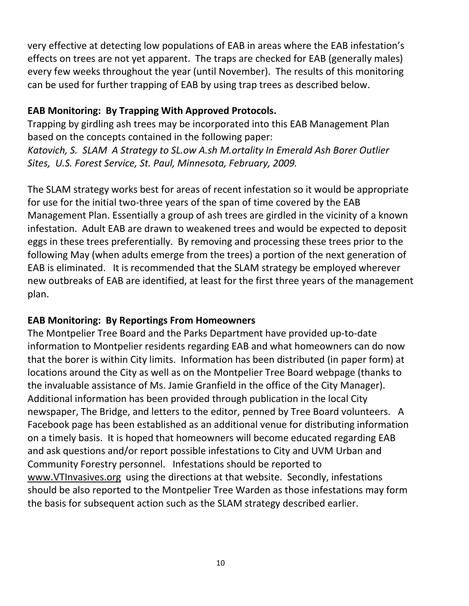very effective at detecting low populations of EAB in areas where the EAB infestation's effects on trees are not yet apparent. The traps are checked for EAB (generally males) every few weeks throughout the year (until November). The results of this monitoring can be used for further trapping of EAB by using trap trees as described below.

# **EAB Monitoring: By Trapping With Approved Protocols.**

Trapping by girdling ash trees may be incorporated into this EAB Management Plan based on the concepts contained in the following paper:

*Katovich, S. SLAM A Strategy to SL.ow A.sh M.ortality In Emerald Ash Borer Outlier Sites, U.S. Forest Service, St. Paul, Minnesota, February, 2009.* 

The SLAM strategy works best for areas of recent infestation so it would be appropriate for use for the initial two-three years of the span of time covered by the EAB Management Plan. Essentially a group of ash trees are girdled in the vicinity of a known infestation. Adult EAB are drawn to weakened trees and would be expected to deposit eggs in these trees preferentially. By removing and processing these trees prior to the following May (when adults emerge from the trees) a portion of the next generation of EAB is eliminated. It is recommended that the SLAM strategy be employed wherever new outbreaks of EAB are identified, at least for the first three years of the management plan.

# **EAB Monitoring: By Reportings From Homeowners**

The Montpelier Tree Board and the Parks Department have provided up-to-date information to Montpelier residents regarding EAB and what homeowners can do now that the borer is within City limits. Information has been distributed (in paper form) at locations around the City as well as on the Montpelier Tree Board webpage (thanks to the invaluable assistance of Ms. Jamie Granfield in the office of the City Manager). Additional information has been provided through publication in the local City newspaper, The Bridge, and letters to the editor, penned by Tree Board volunteers. A Facebook page has been established as an additional venue for distributing information on a timely basis. It is hoped that homeowners will become educated regarding EAB and ask questions and/or report possible infestations to City and UVM Urban and Community Forestry personnel. Infestations should be reported to [www.VTInvasives.org](http://www.vtinvasives.org/) using the directions at that website. Secondly, infestations should be also reported to the Montpelier Tree Warden as those infestations may form the basis for subsequent action such as the SLAM strategy described earlier.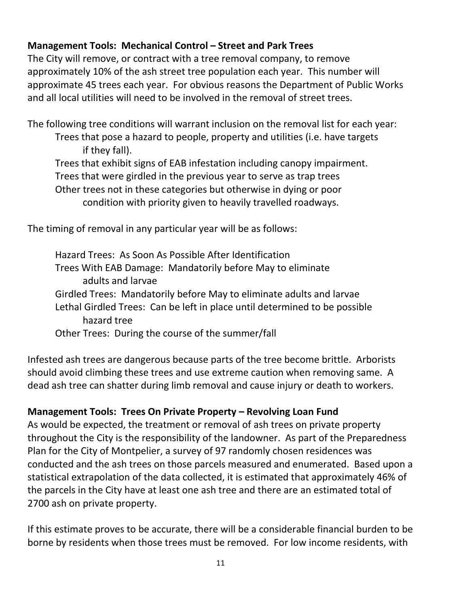# **Management Tools: Mechanical Control – Street and Park Trees**

The City will remove, or contract with a tree removal company, to remove approximately 10% of the ash street tree population each year. This number will approximate 45 trees each year. For obvious reasons the Department of Public Works and all local utilities will need to be involved in the removal of street trees.

The following tree conditions will warrant inclusion on the removal list for each year:

Trees that pose a hazard to people, property and utilities (i.e. have targets if they fall).

Trees that exhibit signs of EAB infestation including canopy impairment.

Trees that were girdled in the previous year to serve as trap trees

Other trees not in these categories but otherwise in dying or poor condition with priority given to heavily travelled roadways.

The timing of removal in any particular year will be as follows:

Hazard Trees: As Soon As Possible After Identification Trees With EAB Damage: Mandatorily before May to eliminate adults and larvae Girdled Trees: Mandatorily before May to eliminate adults and larvae Lethal Girdled Trees: Can be left in place until determined to be possible hazard tree Other Trees: During the course of the summer/fall

Infested ash trees are dangerous because parts of the tree become brittle. Arborists should avoid climbing these trees and use extreme caution when removing same. A dead ash tree can shatter during limb removal and cause injury or death to workers.

# **Management Tools: Trees On Private Property – Revolving Loan Fund**

As would be expected, the treatment or removal of ash trees on private property throughout the City is the responsibility of the landowner. As part of the Preparedness Plan for the City of Montpelier, a survey of 97 randomly chosen residences was conducted and the ash trees on those parcels measured and enumerated. Based upon a statistical extrapolation of the data collected, it is estimated that approximately 46% of the parcels in the City have at least one ash tree and there are an estimated total of 2700 ash on private property.

If this estimate proves to be accurate, there will be a considerable financial burden to be borne by residents when those trees must be removed. For low income residents, with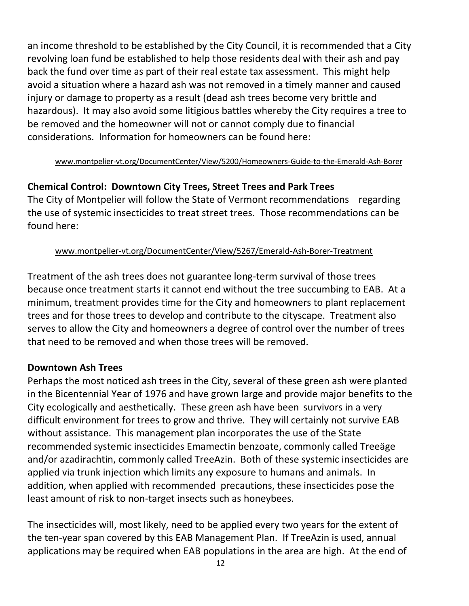an income threshold to be established by the City Council, it is recommended that a City revolving loan fund be established to help those residents deal with their ash and pay back the fund over time as part of their real estate tax assessment. This might help avoid a situation where a hazard ash was not removed in a timely manner and caused injury or damage to property as a result (dead ash trees become very brittle and hazardous). It may also avoid some litigious battles whereby the City requires a tree to be removed and the homeowner will not or cannot comply due to financial considerations. Information for homeowners can be found here:

#### [www.montpelier-vt.org/DocumentCenter/View/5200/Homeowners-Guide-to-the-Emerald-Ash-Borer](http://www.montpelier-vt.org/DocumentCenter/View/5200/Homeowners-Guide-to-the-Emerald-Ash-Borer)

# **Chemical Control: Downtown City Trees, Street Trees and Park Trees**

The City of Montpelier will follow the State of Vermont recommendations regarding the use of systemic insecticides to treat street trees. Those recommendations can be found here:

#### [www.montpelier-vt.org/DocumentCenter/View/5267/Emerald-Ash-Borer-Treatment](http://www.montpelier-vt.org/DocumentCenter/View/5267/Emerald-Ash-Borer-Treatment)

Treatment of the ash trees does not guarantee long-term survival of those trees because once treatment starts it cannot end without the tree succumbing to EAB. At a minimum, treatment provides time for the City and homeowners to plant replacement trees and for those trees to develop and contribute to the cityscape. Treatment also serves to allow the City and homeowners a degree of control over the number of trees that need to be removed and when those trees will be removed.

#### **Downtown Ash Trees**

Perhaps the most noticed ash trees in the City, several of these green ash were planted in the Bicentennial Year of 1976 and have grown large and provide major benefits to the City ecologically and aesthetically. These green ash have been survivors in a very difficult environment for trees to grow and thrive. They will certainly not survive EAB without assistance. This management plan incorporates the use of the State recommended systemic insecticides Emamectin benzoate, commonly called Treeäge and/or azadirachtin, commonly called TreeAzin. Both of these systemic insecticides are applied via trunk injection which limits any exposure to humans and animals. In addition, when applied with recommended precautions, these insecticides pose the least amount of risk to non-target insects such as honeybees.

The insecticides will, most likely, need to be applied every two years for the extent of the ten-year span covered by this EAB Management Plan. If TreeAzin is used, annual applications may be required when EAB populations in the area are high. At the end of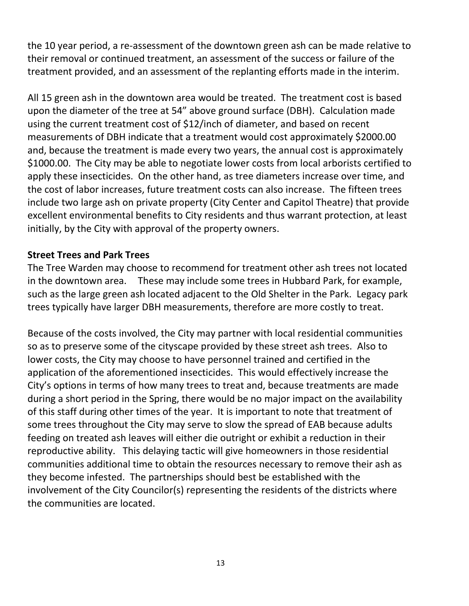the 10 year period, a re-assessment of the downtown green ash can be made relative to their removal or continued treatment, an assessment of the success or failure of the treatment provided, and an assessment of the replanting efforts made in the interim.

All 15 green ash in the downtown area would be treated. The treatment cost is based upon the diameter of the tree at 54" above ground surface (DBH). Calculation made using the current treatment cost of \$12/inch of diameter, and based on recent measurements of DBH indicate that a treatment would cost approximately \$2000.00 and, because the treatment is made every two years, the annual cost is approximately \$1000.00. The City may be able to negotiate lower costs from local arborists certified to apply these insecticides. On the other hand, as tree diameters increase over time, and the cost of labor increases, future treatment costs can also increase. The fifteen trees include two large ash on private property (City Center and Capitol Theatre) that provide excellent environmental benefits to City residents and thus warrant protection, at least initially, by the City with approval of the property owners.

#### **Street Trees and Park Trees**

The Tree Warden may choose to recommend for treatment other ash trees not located in the downtown area. These may include some trees in Hubbard Park, for example, such as the large green ash located adjacent to the Old Shelter in the Park. Legacy park trees typically have larger DBH measurements, therefore are more costly to treat.

Because of the costs involved, the City may partner with local residential communities so as to preserve some of the cityscape provided by these street ash trees. Also to lower costs, the City may choose to have personnel trained and certified in the application of the aforementioned insecticides. This would effectively increase the City's options in terms of how many trees to treat and, because treatments are made during a short period in the Spring, there would be no major impact on the availability of this staff during other times of the year. It is important to note that treatment of some trees throughout the City may serve to slow the spread of EAB because adults feeding on treated ash leaves will either die outright or exhibit a reduction in their reproductive ability. This delaying tactic will give homeowners in those residential communities additional time to obtain the resources necessary to remove their ash as they become infested. The partnerships should best be established with the involvement of the City Councilor(s) representing the residents of the districts where the communities are located.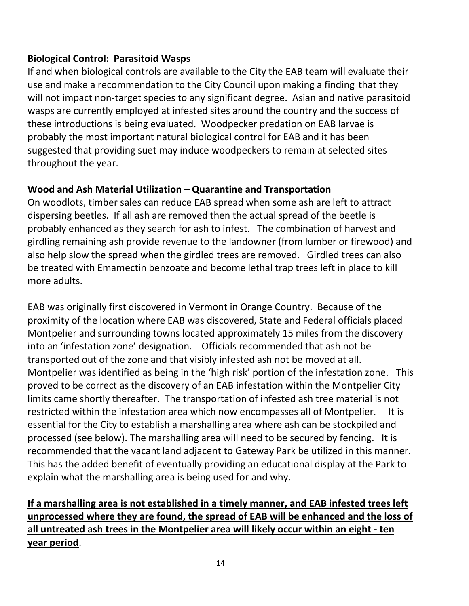# **Biological Control: Parasitoid Wasps**

If and when biological controls are available to the City the EAB team will evaluate their use and make a recommendation to the City Council upon making a finding that they will not impact non-target species to any significant degree. Asian and native parasitoid wasps are currently employed at infested sites around the country and the success of these introductions is being evaluated. Woodpecker predation on EAB larvae is probably the most important natural biological control for EAB and it has been suggested that providing suet may induce woodpeckers to remain at selected sites throughout the year.

# **Wood and Ash Material Utilization – Quarantine and Transportation**

On woodlots, timber sales can reduce EAB spread when some ash are left to attract dispersing beetles. If all ash are removed then the actual spread of the beetle is probably enhanced as they search for ash to infest. The combination of harvest and girdling remaining ash provide revenue to the landowner (from lumber or firewood) and also help slow the spread when the girdled trees are removed. Girdled trees can also be treated with Emamectin benzoate and become lethal trap trees left in place to kill more adults.

EAB was originally first discovered in Vermont in Orange Country. Because of the proximity of the location where EAB was discovered, State and Federal officials placed Montpelier and surrounding towns located approximately 15 miles from the discovery into an 'infestation zone' designation. Officials recommended that ash not be transported out of the zone and that visibly infested ash not be moved at all. Montpelier was identified as being in the 'high risk' portion of the infestation zone. This proved to be correct as the discovery of an EAB infestation within the Montpelier City limits came shortly thereafter. The transportation of infested ash tree material is not restricted within the infestation area which now encompasses all of Montpelier. It is essential for the City to establish a marshalling area where ash can be stockpiled and processed (see below). The marshalling area will need to be secured by fencing. It is recommended that the vacant land adjacent to Gateway Park be utilized in this manner. This has the added benefit of eventually providing an educational display at the Park to explain what the marshalling area is being used for and why.

**If a marshalling area is not established in a timely manner, and EAB infested trees left unprocessed where they are found, the spread of EAB will be enhanced and the loss of all untreated ash trees in the Montpelier area will likely occur within an eight - ten year period**.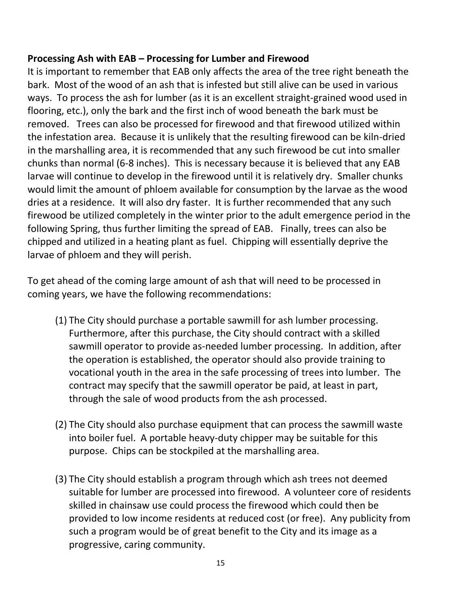# **Processing Ash with EAB – Processing for Lumber and Firewood**

It is important to remember that EAB only affects the area of the tree right beneath the bark. Most of the wood of an ash that is infested but still alive can be used in various ways. To process the ash for lumber (as it is an excellent straight-grained wood used in flooring, etc.), only the bark and the first inch of wood beneath the bark must be removed. Trees can also be processed for firewood and that firewood utilized within the infestation area. Because it is unlikely that the resulting firewood can be kiln-dried in the marshalling area, it is recommended that any such firewood be cut into smaller chunks than normal (6-8 inches). This is necessary because it is believed that any EAB larvae will continue to develop in the firewood until it is relatively dry. Smaller chunks would limit the amount of phloem available for consumption by the larvae as the wood dries at a residence. It will also dry faster. It is further recommended that any such firewood be utilized completely in the winter prior to the adult emergence period in the following Spring, thus further limiting the spread of EAB. Finally, trees can also be chipped and utilized in a heating plant as fuel. Chipping will essentially deprive the larvae of phloem and they will perish.

To get ahead of the coming large amount of ash that will need to be processed in coming years, we have the following recommendations:

- (1) The City should purchase a portable sawmill for ash lumber processing. Furthermore, after this purchase, the City should contract with a skilled sawmill operator to provide as-needed lumber processing. In addition, after the operation is established, the operator should also provide training to vocational youth in the area in the safe processing of trees into lumber. The contract may specify that the sawmill operator be paid, at least in part, through the sale of wood products from the ash processed.
- (2) The City should also purchase equipment that can process the sawmill waste into boiler fuel. A portable heavy-duty chipper may be suitable for this purpose. Chips can be stockpiled at the marshalling area.
- (3) The City should establish a program through which ash trees not deemed suitable for lumber are processed into firewood. A volunteer core of residents skilled in chainsaw use could process the firewood which could then be provided to low income residents at reduced cost (or free). Any publicity from such a program would be of great benefit to the City and its image as a progressive, caring community.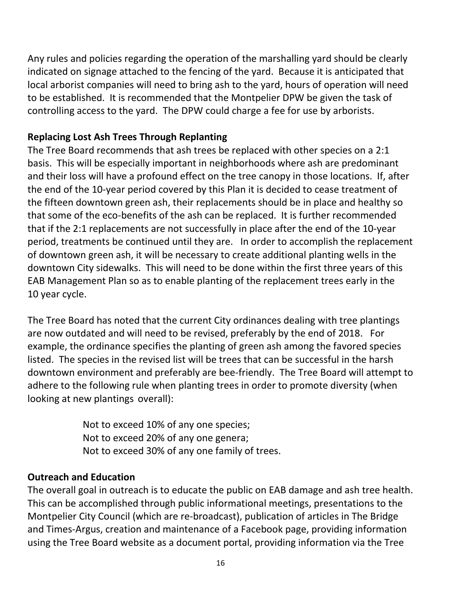Any rules and policies regarding the operation of the marshalling yard should be clearly indicated on signage attached to the fencing of the yard. Because it is anticipated that local arborist companies will need to bring ash to the yard, hours of operation will need to be established. It is recommended that the Montpelier DPW be given the task of controlling access to the yard. The DPW could charge a fee for use by arborists.

# **Replacing Lost Ash Trees Through Replanting**

The Tree Board recommends that ash trees be replaced with other species on a 2:1 basis. This will be especially important in neighborhoods where ash are predominant and their loss will have a profound effect on the tree canopy in those locations. If, after the end of the 10-year period covered by this Plan it is decided to cease treatment of the fifteen downtown green ash, their replacements should be in place and healthy so that some of the eco-benefits of the ash can be replaced. It is further recommended that if the 2:1 replacements are not successfully in place after the end of the 10-year period, treatments be continued until they are. In order to accomplish the replacement of downtown green ash, it will be necessary to create additional planting wells in the downtown City sidewalks. This will need to be done within the first three years of this EAB Management Plan so as to enable planting of the replacement trees early in the 10 year cycle.

The Tree Board has noted that the current City ordinances dealing with tree plantings are now outdated and will need to be revised, preferably by the end of 2018. For example, the ordinance specifies the planting of green ash among the favored species listed. The species in the revised list will be trees that can be successful in the harsh downtown environment and preferably are bee-friendly. The Tree Board will attempt to adhere to the following rule when planting trees in order to promote diversity (when looking at new plantings overall):

> Not to exceed 10% of any one species; Not to exceed 20% of any one genera; Not to exceed 30% of any one family of trees.

#### **Outreach and Education**

The overall goal in outreach is to educate the public on EAB damage and ash tree health. This can be accomplished through public informational meetings, presentations to the Montpelier City Council (which are re-broadcast), publication of articles in The Bridge and Times-Argus, creation and maintenance of a Facebook page, providing information using the Tree Board website as a document portal, providing information via the Tree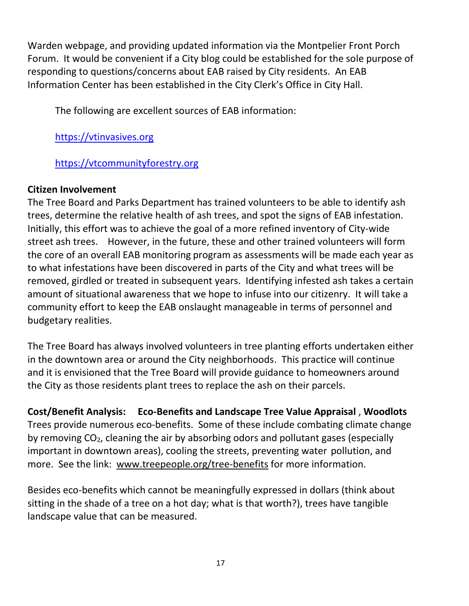Warden webpage, and providing updated information via the Montpelier Front Porch Forum. It would be convenient if a City blog could be established for the sole purpose of responding to questions/concerns about EAB raised by City residents. An EAB Information Center has been established in the City Clerk's Office in City Hall.

The following are excellent sources of EAB information:

[https://vtinvasives.org](https://vtinvasives.org/)

[https://vtcommunityforestry.org](https://vtcommunityforestry.org/)

# **Citizen Involvement**

The Tree Board and Parks Department has trained volunteers to be able to identify ash trees, determine the relative health of ash trees, and spot the signs of EAB infestation. Initially, this effort was to achieve the goal of a more refined inventory of City-wide street ash trees. However, in the future, these and other trained volunteers will form the core of an overall EAB monitoring program as assessments will be made each year as to what infestations have been discovered in parts of the City and what trees will be removed, girdled or treated in subsequent years. Identifying infested ash takes a certain amount of situational awareness that we hope to infuse into our citizenry. It will take a community effort to keep the EAB onslaught manageable in terms of personnel and budgetary realities.

The Tree Board has always involved volunteers in tree planting efforts undertaken either in the downtown area or around the City neighborhoods. This practice will continue and it is envisioned that the Tree Board will provide guidance to homeowners around the City as those residents plant trees to replace the ash on their parcels.

**Cost/Benefit Analysis: Eco-Benefits and Landscape Tree Value Appraisal** , **Woodlots** Trees provide numerous eco-benefits. Some of these include combating climate change by removing  $CO<sub>2</sub>$ , cleaning the air by absorbing odors and pollutant gases (especially important in downtown areas), cooling the streets, preventing water pollution, and more. See the link: [www.treepeople.org/tree-benefits](http://www.treepeople.org/tree-benefits) for more information.

Besides eco-benefits which cannot be meaningfully expressed in dollars (think about sitting in the shade of a tree on a hot day; what is that worth?), trees have tangible landscape value that can be measured.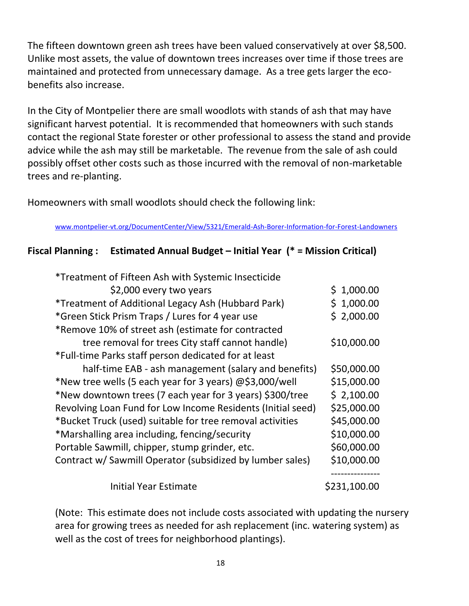The fifteen downtown green ash trees have been valued conservatively at over \$8,500. Unlike most assets, the value of downtown trees increases over time if those trees are maintained and protected from unnecessary damage. As a tree gets larger the ecobenefits also increase.

In the City of Montpelier there are small woodlots with stands of ash that may have significant harvest potential. It is recommended that homeowners with such stands contact the regional State forester or other professional to assess the stand and provide advice while the ash may still be marketable. The revenue from the sale of ash could possibly offset other costs such as those incurred with the removal of non-marketable trees and re-planting.

Homeowners with small woodlots should check the following link:

[www.montpelier-vt.org/DocumentCenter/View/5321/Emerald-Ash-Borer-Information-for-Forest-Landowners](http://www.montpelier-vt.org/DocumentCenter/View/5321/Emerald-Ash-Borer-Information-for-Forest-Landowners)

# **Fiscal Planning : Estimated Annual Budget – Initial Year (\* = Mission Critical)**

| *Treatment of Fifteen Ash with Systemic Insecticide         |              |
|-------------------------------------------------------------|--------------|
| \$2,000 every two years                                     | \$1,000.00   |
| *Treatment of Additional Legacy Ash (Hubbard Park)          | \$1,000.00   |
| *Green Stick Prism Traps / Lures for 4 year use             | \$2,000.00   |
| *Remove 10% of street ash (estimate for contracted          |              |
| tree removal for trees City staff cannot handle)            | \$10,000.00  |
| *Full-time Parks staff person dedicated for at least        |              |
| half-time EAB - ash management (salary and benefits)        | \$50,000.00  |
| *New tree wells (5 each year for 3 years) @\$3,000/well     | \$15,000.00  |
| *New downtown trees (7 each year for 3 years) \$300/tree    | \$2,100.00   |
| Revolving Loan Fund for Low Income Residents (Initial seed) | \$25,000.00  |
| *Bucket Truck (used) suitable for tree removal activities   | \$45,000.00  |
| *Marshalling area including, fencing/security               | \$10,000.00  |
| Portable Sawmill, chipper, stump grinder, etc.              | \$60,000.00  |
| Contract w/ Sawmill Operator (subsidized by lumber sales)   | \$10,000.00  |
| <b>Initial Year Estimate</b>                                | \$231,100.00 |

(Note: This estimate does not include costs associated with updating the nursery area for growing trees as needed for ash replacement (inc. watering system) as well as the cost of trees for neighborhood plantings).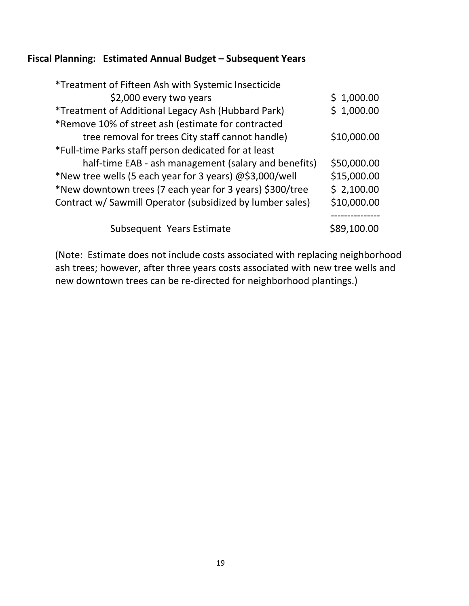# **Fiscal Planning: Estimated Annual Budget – Subsequent Years**

| *Treatment of Fifteen Ash with Systemic Insecticide       |             |
|-----------------------------------------------------------|-------------|
| \$2,000 every two years                                   | \$1,000.00  |
| *Treatment of Additional Legacy Ash (Hubbard Park)        | \$1,000.00  |
| *Remove 10% of street ash (estimate for contracted        |             |
| tree removal for trees City staff cannot handle)          | \$10,000.00 |
| *Full-time Parks staff person dedicated for at least      |             |
| half-time EAB - ash management (salary and benefits)      | \$50,000.00 |
| *New tree wells (5 each year for 3 years) @\$3,000/well   | \$15,000.00 |
| *New downtown trees (7 each year for 3 years) \$300/tree  | \$2,100.00  |
| Contract w/ Sawmill Operator (subsidized by lumber sales) | \$10,000.00 |
|                                                           |             |
| Subsequent Years Estimate                                 | \$89,100.00 |

(Note: Estimate does not include costs associated with replacing neighborhood ash trees; however, after three years costs associated with new tree wells and new downtown trees can be re-directed for neighborhood plantings.)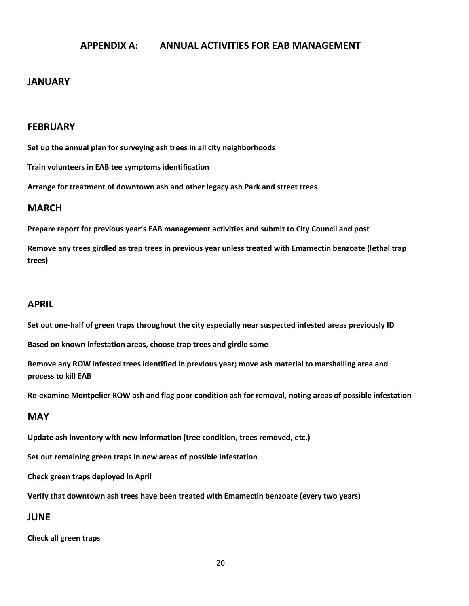#### **APPENDIX A: ANNUAL ACTIVITIES FOR EAB MANAGEMENT**

#### **JANUARY**

#### **FEBRUARY**

**Set up the annual plan for surveying ash trees in all city neighborhoods**

**Train volunteers in EAB tee symptoms identification**

**Arrange for treatment of downtown ash and other legacy ash Park and street trees**

#### **MARCH**

**Prepare report for previous year's EAB management activities and submit to City Council and post**

**Remove any trees girdled as trap trees in previous year unless treated with Emamectin benzoate (lethal trap trees)**

#### **APRIL**

**Set out one-half of green traps throughout the city especially near suspected infested areas previously ID**

**Based on known infestation areas, choose trap trees and girdle same**

**Remove any ROW infested trees identified in previous year; move ash material to marshalling area and process to kill EAB**

**Re-examine Montpelier ROW ash and flag poor condition ash for removal, noting areas of possible infestation**

#### **MAY**

**Update ash inventory with new information (tree condition, trees removed, etc.)**

**Set out remaining green traps in new areas of possible infestation**

**Check green traps deployed in April** 

**Verify that downtown ash trees have been treated with Emamectin benzoate (every two years)**

#### **JUNE**

**Check all green traps**